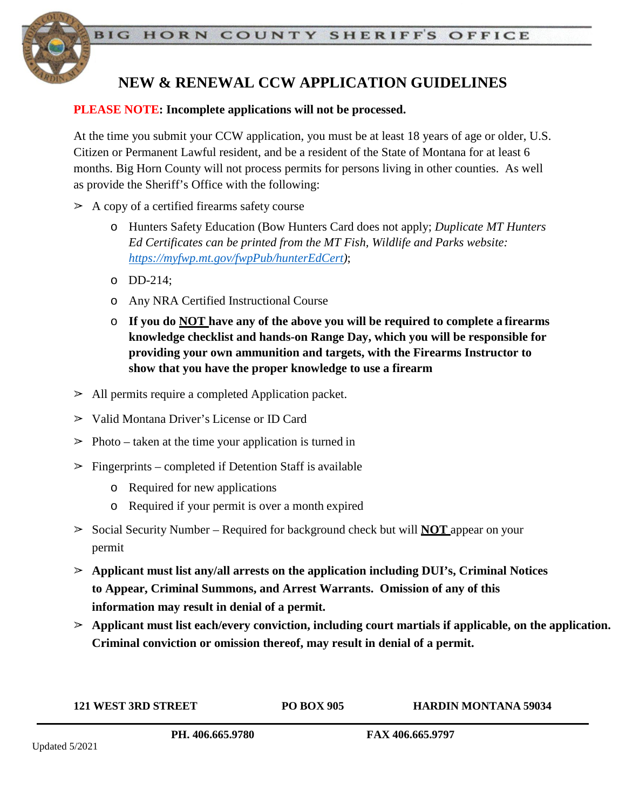

# **NEW & RENEWAL CCW APPLICATION GUIDELINES**

#### **PLEASE NOTE: Incomplete applications will not be processed.**

At the time you submit your CCW application, you must be at least 18 years of age or older, U.S. Citizen or Permanent Lawful resident, and be a resident of the State of Montana for at least 6 months. Big Horn County will not process permits for persons living in other counties. As well as provide the Sheriff's Office with the following:

- $\geq$  A copy of a certified firearms safety course
	- o Hunters Safety Education (Bow Hunters Card does not apply; *Duplicate MT Hunters Ed Certificates can be printed from the MT Fish, Wildlife and Parks website: [https://myfwp.mt.gov/fwpPub/hunterEdCert\)](https://myfwp.mt.gov/fwpPub/hunterEdCert)*;
	- o DD-214;
	- o Any NRA Certified Instructional Course
	- o **If you do NOT have any of the above you will be required to complete a firearms knowledge checklist and hands-on Range Day, which you will be responsible for providing your own ammunition and targets, with the Firearms Instructor to show that you have the proper knowledge to use a firearm**
- ➢ All permits require a completed Application packet.
- ➢ Valid Montana Driver's License or ID Card
- $\geq$  Photo taken at the time your application is turned in
- $\geq$  Fingerprints completed if Detention Staff is available
	- o Required for new applications
	- o Required if your permit is over a month expired
- ➢ Social Security Number Required for background check but will **NOT** appear on your permit
- ➢ **Applicant must list any/all arrests on the application including DUI's, Criminal Notices to Appear, Criminal Summons, and Arrest Warrants. Omission of any of this information may result in denial of a permit.**
- ➢ **Applicant must list each/every conviction, including court martials if applicable, on the application. Criminal conviction or omission thereof, may result in denial of a permit.**

**121 WEST 3RD STREET PO BOX 905 HARDIN MONTANA 59034 PH. 406.665.9780 FAX 406.665.9797**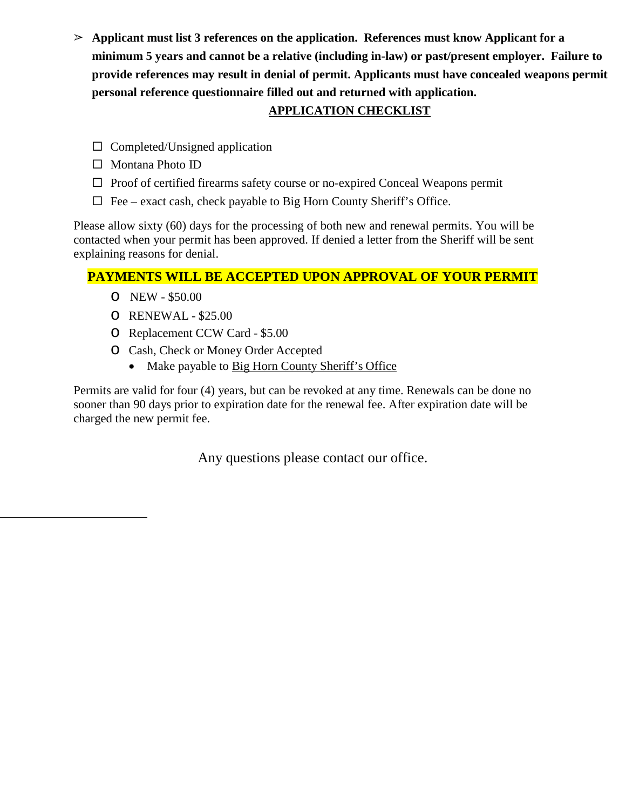➢ **Applicant must list 3 references on the application. References must know Applicant for a minimum 5 years and cannot be a relative (including in-law) or past/present employer. Failure to provide references may result in denial of permit. Applicants must have concealed weapons permit personal reference questionnaire filled out and returned with application.**

## **APPLICATION CHECKLIST**

- $\Box$  Completed/Unsigned application
- $\Box$  Montana Photo ID
- $\Box$  Proof of certified firearms safety course or no-expired Conceal Weapons permit
- $\Box$  Fee exact cash, check payable to Big Horn County Sheriff's Office.

Please allow sixty (60) days for the processing of both new and renewal permits. You will be contacted when your permit has been approved. If denied a letter from the Sheriff will be sent explaining reasons for denial.

### **PAYMENTS WILL BE ACCEPTED UPON APPROVAL OF YOUR PERMIT**

- o NEW \$50.00
- o RENEWAL \$25.00
- o Replacement CCW Card \$5.00
- o Cash, Check or Money Order Accepted
	- Make payable to Big Horn County Sheriff's Office

Permits are valid for four (4) years, but can be revoked at any time. Renewals can be done no sooner than 90 days prior to expiration date for the renewal fee. After expiration date will be charged the new permit fee.

Any questions please contact our office.